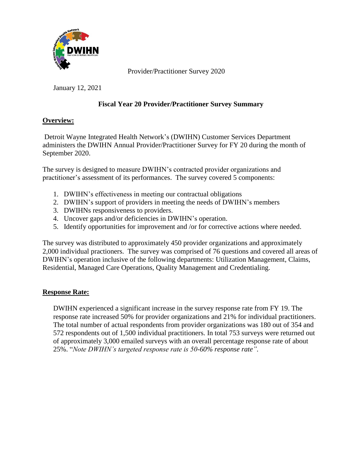

Provider/Practitioner Survey 2020

January 12, 2021

## **Fiscal Year 20 Provider/Practitioner Survey Summary**

## **Overview:**

Detroit Wayne Integrated Health Network's (DWIHN) Customer Services Department administers the DWIHN Annual Provider/Practitioner Survey for FY 20 during the month of September 2020.

The survey is designed to measure DWIHN's contracted provider organizations and practitioner's assessment of its performances. The survey covered 5 components:

- 1. DWIHN's effectiveness in meeting our contractual obligations
- 2. DWIHN's support of providers in meeting the needs of DWIHN's members
- 3. DWIHNs responsiveness to providers.
- 4. Uncover gaps and/or deficiencies in DWIHN's operation.
- 5. Identify opportunities for improvement and /or for corrective actions where needed.

The survey was distributed to approximately 450 provider organizations and approximately 2,000 individual practioners. The survey was comprised of 76 questions and covered all areas of DWIHN's operation inclusive of the following departments: Utilization Management, Claims, Residential, Managed Care Operations, Quality Management and Credentialing.

## **Response Rate:**

 DWIHN experienced a significant increase in the survey response rate from FY 19. The response rate increased 50% for provider organizations and 21% for individual practitioners. The total number of actual respondents from provider organizations was 180 out of 354 and 572 respondents out of 1,500 individual practitioners. In total 753 surveys were returned out of approximately 3,000 emailed surveys with an overall percentage response rate of about 25%. "*Note DWIHN's targeted response rate is 50-60% response rate".*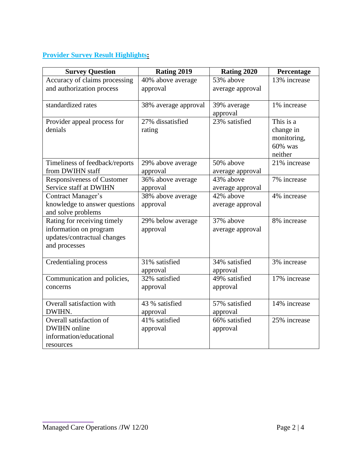# **Provider Survey Result Highlights:**

| <b>Survey Question</b>                                | Rating 2019          | Rating 2020             | Percentage                 |
|-------------------------------------------------------|----------------------|-------------------------|----------------------------|
| Accuracy of claims processing                         | 40% above average    | 53% above               | 13% increase               |
| and authorization process                             | approval             | average approval        |                            |
| standardized rates                                    | 38% average approval | 39% average<br>approval | 1% increase                |
| Provider appeal process for                           | 27% dissatisfied     | 23% satisfied           | This is a                  |
| denials                                               | rating               |                         | change in                  |
|                                                       |                      |                         | monitoring,                |
|                                                       |                      |                         | 60% was                    |
|                                                       |                      |                         | neither                    |
| Timeliness of feedback/reports                        | 29% above average    | 50% above               | 21% increase               |
| from DWIHN staff                                      | approval             | average approval        |                            |
| <b>Responsiveness of Customer</b>                     | 36% above average    | 43% above               | 7% increase                |
| Service staff at DWIHN                                | approval             | average approval        |                            |
| Contract Manager's                                    | 38% above average    | 42% above               | 4% increase                |
| knowledge to answer questions                         | approval             | average approval        |                            |
| and solve problems                                    |                      | 37% above               | 8% increase                |
| Rating for receiving timely<br>information on program | 29% below average    |                         |                            |
| updates/contractual changes                           | approval             | average approval        |                            |
| and processes                                         |                      |                         |                            |
|                                                       |                      |                         |                            |
| Credentialing process                                 | 31% satisfied        | 34% satisfied           | 3% increase                |
|                                                       | approval             | approval                |                            |
| Communication and policies,                           | 32% satisfied        | 49% satisfied           | 17% increase               |
| concerns                                              | approval             | approval                |                            |
| Overall satisfaction with                             | 43 % satisfied       | 57% satisfied           | $\overline{14\%}$ increase |
| DWIHN.                                                | approval             | approval                |                            |
| Overall satisfaction of                               | 41% satisfied        | 66% satisfied           | 25% increase               |
| <b>DWIHN</b> online                                   | approval             | approval                |                            |
| information/educational                               |                      |                         |                            |
| resources                                             |                      |                         |                            |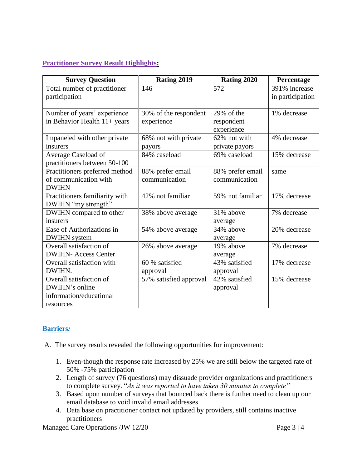#### **Practitioner Survey Result Highlights:**

| <b>Survey Question</b>         | Rating 2019            | Rating 2020      | Percentage       |
|--------------------------------|------------------------|------------------|------------------|
| Total number of practitioner   | 146                    | 572              | 391% increase    |
| participation                  |                        |                  | in participation |
|                                |                        |                  |                  |
| Number of years' experience    | 30% of the respondent  | 29% of the       | 1% decrease      |
| in Behavior Health $11+$ years | experience             | respondent       |                  |
|                                |                        | experience       |                  |
| Impaneled with other private   | 68% not with private   | 62% not with     | 4% decrease      |
| insurers                       | payors                 | private payors   |                  |
| Average Caseload of            | 84% caseload           | 69% caseload     | 15% decrease     |
| practitioners between 50-100   |                        |                  |                  |
| Practitioners preferred method | 88% prefer email       | 88% prefer email | same             |
| of communication with          | communication          | communication    |                  |
| <b>DWIHN</b>                   |                        |                  |                  |
| Practitioners familiarity with | 42% not familiar       | 59% not familiar | 17% decrease     |
| DWIHN "my strength"            |                        |                  |                  |
| DWIHN compared to other        | 38% above average      | 31% above        | 7% decrease      |
| insurers                       |                        | average          |                  |
| Ease of Authorizations in      | 54% above average      | 34% above        | 20% decrease     |
| <b>DWIHN</b> system            |                        | average          |                  |
| Overall satisfaction of        | 26% above average      | 19% above        | 7% decrease      |
| <b>DWIHN-Access Center</b>     |                        | average          |                  |
| Overall satisfaction with      | 60 % satisfied         | 43% satisfied    | 17% decrease     |
| DWIHN.                         | approval               | approval         |                  |
| Overall satisfaction of        | 57% satisfied approval | 42% satisfied    | 15% decrease     |
| DWIHN's online                 |                        | approval         |                  |
| information/educational        |                        |                  |                  |
| resources                      |                        |                  |                  |

## **Barriers***:*

A. The survey results revealed the following opportunities for improvement:

- 1. Even-though the response rate increased by 25% we are still below the targeted rate of 50% -75% participation
- 2. Length of survey (76 questions) may dissuade provider organizations and practitioners to complete survey. "*As it was reported to have taken 30 minutes to complete"*
- 3. Based upon number of surveys that bounced back there is further need to clean up our email database to void invalid email addresses
- 4. Data base on practitioner contact not updated by providers, still contains inactive practitioners

Managed Care Operations /JW 12/20 Page 3 | 4